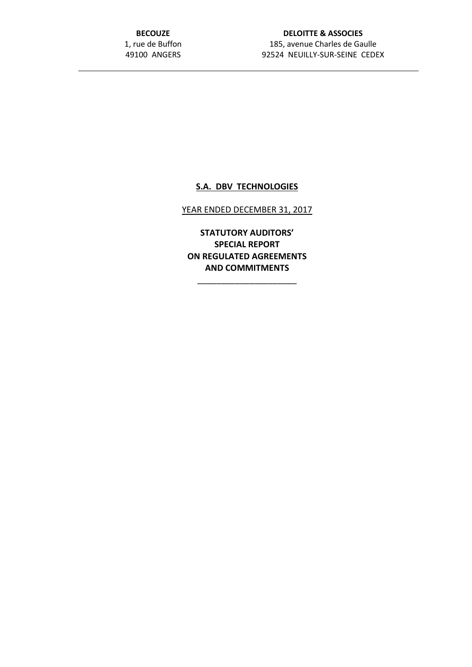**BECOUZE** 1, rue de Buffon 49100 ANGERS

# **DELOITTE & ASSOCIES** 185, avenue Charles de Gaulle 92524 NEUILLY-SUR-SEINE CEDEX

## **S.A. DBV TECHNOLOGIES**

#### YEAR ENDED DECEMBER 31, 2017

**STATUTORY AUDITORS' SPECIAL REPORT ON REGULATED AGREEMENTS AND COMMITMENTS**

\_\_\_\_\_\_\_\_\_\_\_\_\_\_\_\_\_\_\_\_\_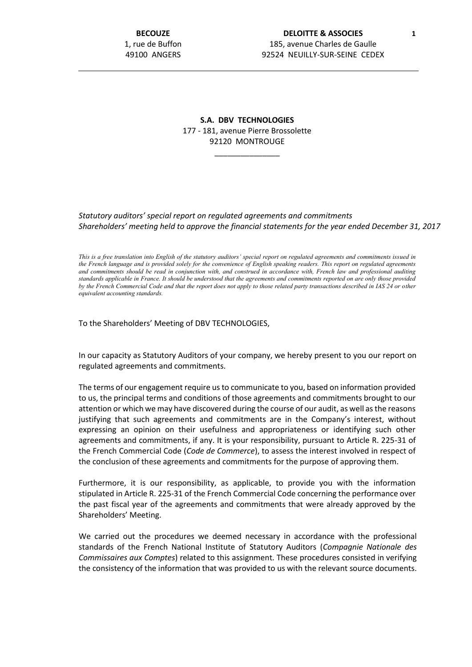## **S.A. DBV TECHNOLOGIES** 177 - 181, avenue Pierre Brossolette 92120 MONTROUGE

\_\_\_\_\_\_\_\_\_\_\_\_\_\_\_

#### *Statutory auditors' special report on regulated agreements and commitments Shareholders' meeting held to approve the financial statements for the year ended December 31, 2017*

*This is a free translation into English of the statutory auditors' special report on regulated agreements and commitments issued in the French language and is provided solely for the convenience of English speaking readers. This report on regulated agreements and commitments should be read in conjunction with, and construed in accordance with, French law and professional auditing standards applicable in France. It should be understood that the agreements and commitments reported on are only those provided by the French Commercial Code and that the report does not apply to those related party transactions described in IAS 24 or other equivalent accounting standards.*

To the Shareholders' Meeting of DBV TECHNOLOGIES,

In our capacity as Statutory Auditors of your company, we hereby present to you our report on regulated agreements and commitments.

The terms of our engagement require us to communicate to you, based on information provided to us, the principal terms and conditions of those agreements and commitments brought to our attention or which we may have discovered during the course of our audit, as well as the reasons justifying that such agreements and commitments are in the Company's interest, without expressing an opinion on their usefulness and appropriateness or identifying such other agreements and commitments, if any. It is your responsibility, pursuant to Article R. 225-31 of the French Commercial Code (*Code de Commerce*), to assess the interest involved in respect of the conclusion of these agreements and commitments for the purpose of approving them.

Furthermore, it is our responsibility, as applicable, to provide you with the information stipulated in Article R. 225-31 of the French Commercial Code concerning the performance over the past fiscal year of the agreements and commitments that were already approved by the Shareholders' Meeting.

We carried out the procedures we deemed necessary in accordance with the professional standards of the French National Institute of Statutory Auditors (*Compagnie Nationale des Commissaires aux Comptes*) related to this assignment. These procedures consisted in verifying the consistency of the information that was provided to us with the relevant source documents.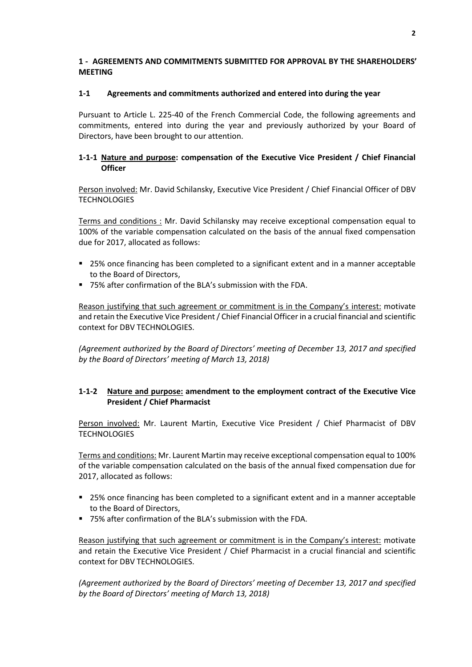### **1 - AGREEMENTS AND COMMITMENTS SUBMITTED FOR APPROVAL BY THE SHAREHOLDERS' MEETING**

### **1-1 Agreements and commitments authorized and entered into during the year**

Pursuant to Article L. 225-40 of the French Commercial Code, the following agreements and commitments, entered into during the year and previously authorized by your Board of Directors, have been brought to our attention.

## **1-1-1 Nature and purpose: compensation of the Executive Vice President / Chief Financial Officer**

Person involved: Mr. David Schilansky, Executive Vice President / Chief Financial Officer of DBV **TECHNOLOGIES** 

Terms and conditions : Mr. David Schilansky may receive exceptional compensation equal to 100% of the variable compensation calculated on the basis of the annual fixed compensation due for 2017, allocated as follows:

- 25% once financing has been completed to a significant extent and in a manner acceptable to the Board of Directors,
- 75% after confirmation of the BLA's submission with the FDA.

Reason justifying that such agreement or commitment is in the Company's interest: motivate and retain the Executive Vice President / Chief Financial Officer in a crucial financial and scientific context for DBV TECHNOLOGIES.

*(Agreement authorized by the Board of Directors' meeting of December 13, 2017 and specified by the Board of Directors' meeting of March 13, 2018)*

# **1-1-2 Nature and purpose: amendment to the employment contract of the Executive Vice President / Chief Pharmacist**

Person involved: Mr. Laurent Martin, Executive Vice President / Chief Pharmacist of DBV **TECHNOLOGIES** 

Terms and conditions: Mr. Laurent Martin may receive exceptional compensation equal to 100% of the variable compensation calculated on the basis of the annual fixed compensation due for 2017, allocated as follows:

- 25% once financing has been completed to a significant extent and in a manner acceptable to the Board of Directors,
- 75% after confirmation of the BLA's submission with the FDA.

Reason justifying that such agreement or commitment is in the Company's interest: motivate and retain the Executive Vice President / Chief Pharmacist in a crucial financial and scientific context for DBV TECHNOLOGIES.

*(Agreement authorized by the Board of Directors' meeting of December 13, 2017 and specified by the Board of Directors' meeting of March 13, 2018)*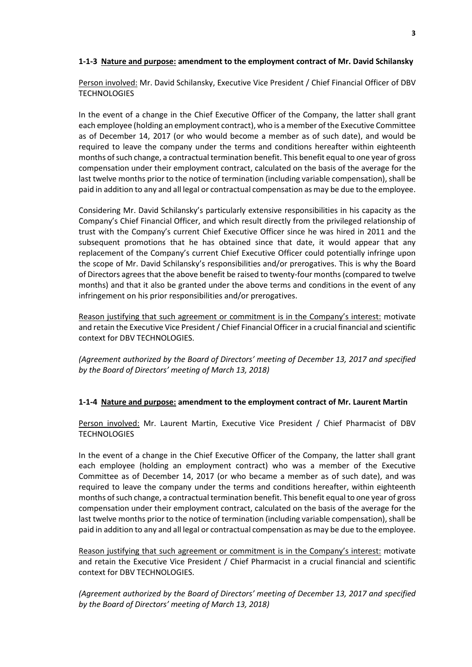### **1-1-3 Nature and purpose: amendment to the employment contract of Mr. David Schilansky**

Person involved: Mr. David Schilansky, Executive Vice President / Chief Financial Officer of DBV **TECHNOLOGIES** 

In the event of a change in the Chief Executive Officer of the Company, the latter shall grant each employee (holding an employment contract), who is a member of the Executive Committee as of December 14, 2017 (or who would become a member as of such date), and would be required to leave the company under the terms and conditions hereafter within eighteenth months of such change, a contractual termination benefit. This benefit equal to one year of gross compensation under their employment contract, calculated on the basis of the average for the last twelve months prior to the notice of termination (including variable compensation), shall be paid in addition to any and all legal or contractual compensation as may be due to the employee.

Considering Mr. David Schilansky's particularly extensive responsibilities in his capacity as the Company's Chief Financial Officer, and which result directly from the privileged relationship of trust with the Company's current Chief Executive Officer since he was hired in 2011 and the subsequent promotions that he has obtained since that date, it would appear that any replacement of the Company's current Chief Executive Officer could potentially infringe upon the scope of Mr. David Schilansky's responsibilities and/or prerogatives. This is why the Board of Directors agrees that the above benefit be raised to twenty-four months (compared to twelve months) and that it also be granted under the above terms and conditions in the event of any infringement on his prior responsibilities and/or prerogatives.

Reason justifying that such agreement or commitment is in the Company's interest: motivate and retain the Executive Vice President / Chief Financial Officer in a crucial financial and scientific context for DBV TECHNOLOGIES.

*(Agreement authorized by the Board of Directors' meeting of December 13, 2017 and specified by the Board of Directors' meeting of March 13, 2018)*

#### **1-1-4 Nature and purpose: amendment to the employment contract of Mr. Laurent Martin**

Person involved: Mr. Laurent Martin, Executive Vice President / Chief Pharmacist of DBV **TECHNOLOGIES** 

In the event of a change in the Chief Executive Officer of the Company, the latter shall grant each employee (holding an employment contract) who was a member of the Executive Committee as of December 14, 2017 (or who became a member as of such date), and was required to leave the company under the terms and conditions hereafter, within eighteenth months of such change, a contractual termination benefit. This benefit equal to one year of gross compensation under their employment contract, calculated on the basis of the average for the last twelve months prior to the notice of termination (including variable compensation), shall be paid in addition to any and all legal or contractual compensation as may be due to the employee.

Reason justifying that such agreement or commitment is in the Company's interest: motivate and retain the Executive Vice President / Chief Pharmacist in a crucial financial and scientific context for DBV TECHNOLOGIES.

*(Agreement authorized by the Board of Directors' meeting of December 13, 2017 and specified by the Board of Directors' meeting of March 13, 2018)*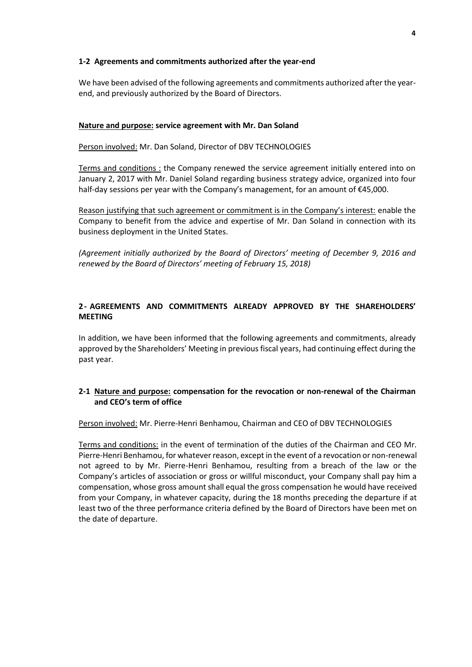#### **1-2 Agreements and commitments authorized after the year-end**

We have been advised of the following agreements and commitments authorized after the yearend, and previously authorized by the Board of Directors.

## **Nature and purpose: service agreement with Mr. Dan Soland**

Person involved: Mr. Dan Soland, Director of DBV TECHNOLOGIES

Terms and conditions : the Company renewed the service agreement initially entered into on January 2, 2017 with Mr. Daniel Soland regarding business strategy advice, organized into four half-day sessions per year with the Company's management, for an amount of €45,000.

Reason justifying that such agreement or commitment is in the Company's interest: enable the Company to benefit from the advice and expertise of Mr. Dan Soland in connection with its business deployment in the United States.

*(Agreement initially authorized by the Board of Directors' meeting of December 9, 2016 and renewed by the Board of Directors' meeting of February 15, 2018)*

# **2- AGREEMENTS AND COMMITMENTS ALREADY APPROVED BY THE SHAREHOLDERS' MEETING**

In addition, we have been informed that the following agreements and commitments, already approved by the Shareholders' Meeting in previous fiscal years, had continuing effect during the past year.

## **2-1 Nature and purpose: compensation for the revocation or non-renewal of the Chairman and CEO's term of office**

Person involved: Mr. Pierre-Henri Benhamou, Chairman and CEO of DBV TECHNOLOGIES

Terms and conditions: in the event of termination of the duties of the Chairman and CEO Mr. Pierre-Henri Benhamou, for whatever reason, except in the event of a revocation or non-renewal not agreed to by Mr. Pierre-Henri Benhamou, resulting from a breach of the law or the Company's articles of association or gross or willful misconduct, your Company shall pay him a compensation, whose gross amount shall equal the gross compensation he would have received from your Company, in whatever capacity, during the 18 months preceding the departure if at least two of the three performance criteria defined by the Board of Directors have been met on the date of departure.